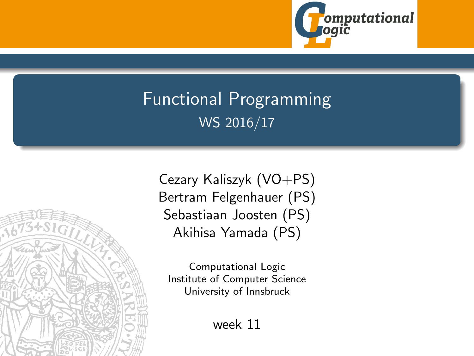

# <span id="page-0-0"></span>Functional Programming WS 2016/17



Cezary Kaliszyk (VO+PS) Bertram Felgenhauer (PS) Sebastiaan Joosten (PS) Akihisa Yamada (PS)

Computational Logic Institute of Computer Science University of Innsbruck

week 11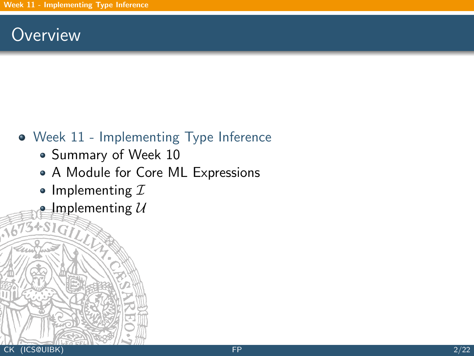## <span id="page-1-0"></span>**Overview**

## [Week 11 - Implementing Type Inference](#page-1-0)

- [Summary of Week 10](#page-2-0)
- [A Module for Core ML Expressions](#page-14-0)
- [Implementing](#page-19-0)  $I$
- [Implementing](#page-30-0)  $U$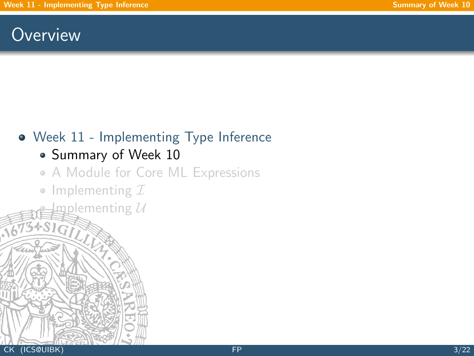## <span id="page-2-0"></span>**Overview**

## [Week 11 - Implementing Type Inference](#page-1-0)

## • [Summary of Week 10](#page-2-0)

### [A Module for Core ML Expressions](#page-14-0)

• [Implementing](#page-19-0)  $I$ 

 ${\tt gplemening\ }{\cal U}$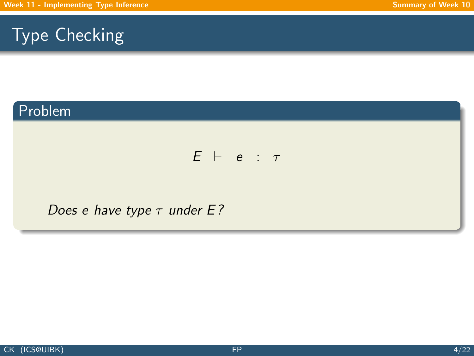## Problem

### $E$   $\vdash$  e :  $\tau$

#### Does e have type  $\tau$  under E?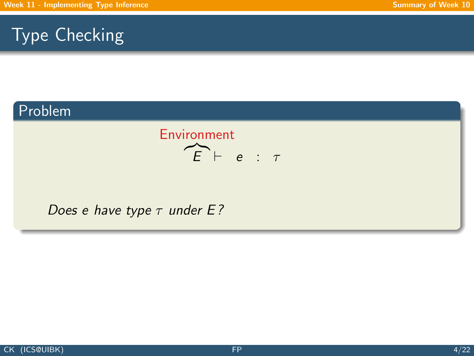## Problem



Does e have type  $\tau$  under E?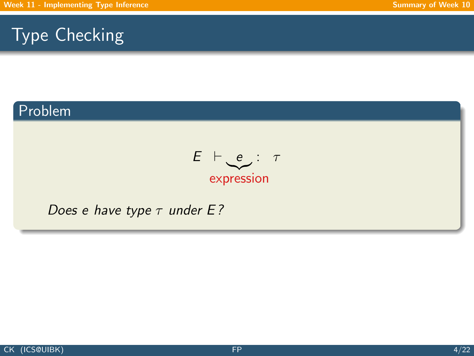### Problem

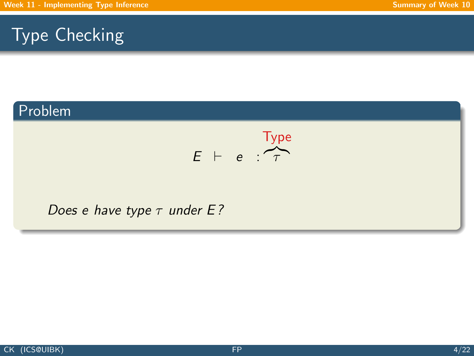## Problem

$$
E + e : \overbrace{\tau}^{\text{Type}}
$$

#### Does e have type  $\tau$  under E?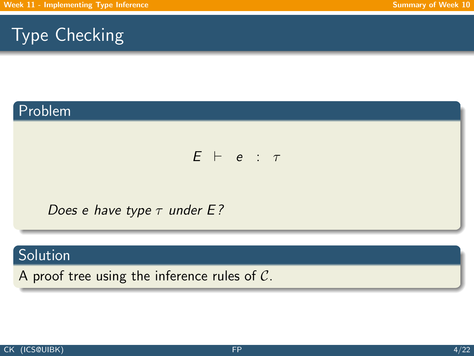## Problem

#### $E$   $\vdash$  e :  $\tau$

Does e have type  $\tau$  under E?

### **Solution**

A proof tree using the inference rules of C.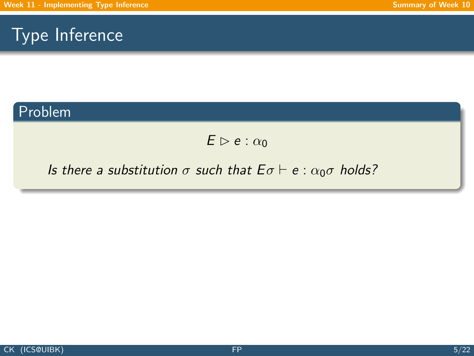#### Problem

 $E \triangleright e : \alpha_0$ 

#### Is there a substitution  $\sigma$  such that  $E \sigma \vdash e : \alpha_0 \sigma$  holds?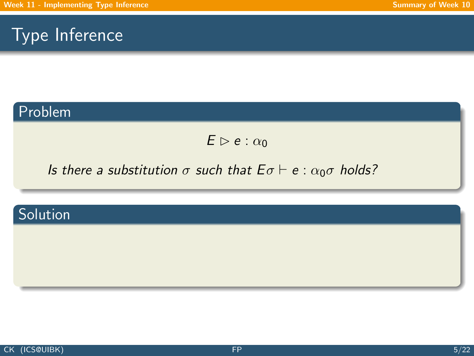### Problem

 $E \triangleright e : \alpha_0$ 

### Is there a substitution  $\sigma$  such that  $E \sigma \vdash e : \alpha_0 \sigma$  holds?

## Solution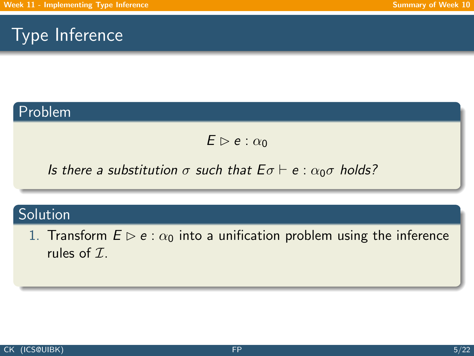#### Problem

 $E \triangleright e : \alpha_0$ 

Is there a substitution  $\sigma$  such that  $E \sigma \vdash e : \alpha_0 \sigma$  holds?

## **Solution**

1. Transform  $E \triangleright e : \alpha_0$  into a unification problem using the inference rules of  $\mathcal{I}$ .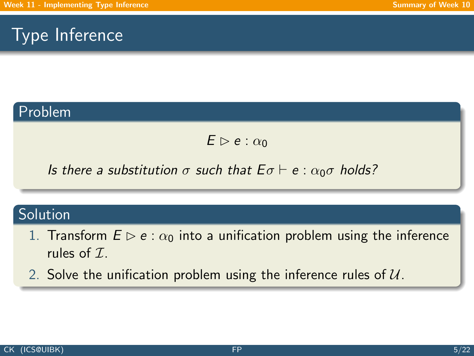#### Problem

 $E \triangleright e : \alpha_0$ 

Is there a substitution  $\sigma$  such that  $E \sigma \vdash e : \alpha_0 \sigma$  holds?

#### Solution

- 1. Transform  $E \triangleright e : \alpha_0$  into a unification problem using the inference rules of  $\mathcal{I}$ .
- 2. Solve the unification problem using the inference rules of  $U$ .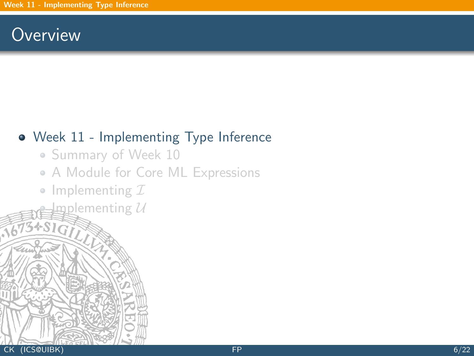## **Overview**

## [Week 11 - Implementing Type Inference](#page-1-0)

- [Summary of Week 10](#page-2-0)
- [A Module for Core ML Expressions](#page-14-0)
- [Implementing](#page-19-0)  $I$

 $\operatorname{Lip}$ ementing  $\operatorname{\mathcal{U}}$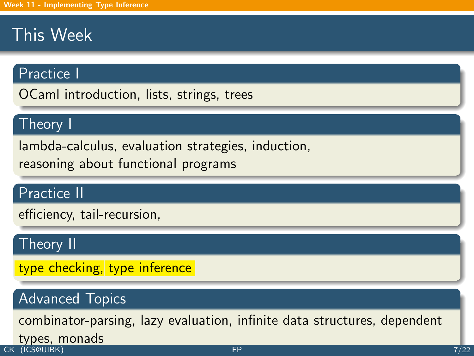# This Week

### Practice I

OCaml introduction, lists, strings, trees

### Theory I

lambda-calculus, evaluation strategies, induction,

reasoning about functional programs

### Practice II

efficiency, tail-recursion,

### Theory II

type checking, type inference

## Advanced Topics

combinator-parsing, lazy evaluation, infinite data structures, dependent

# **types, monads**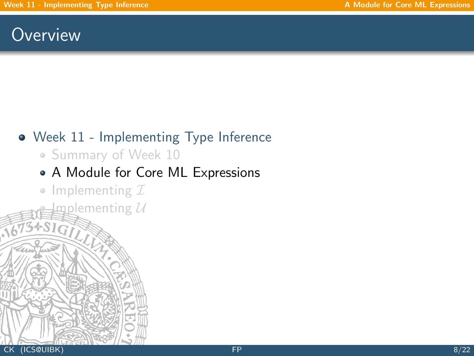## <span id="page-14-0"></span>**Overview**

## [Week 11 - Implementing Type Inference](#page-1-0)

• [Summary of Week 10](#page-2-0)

## [A Module for Core ML Expressions](#page-14-0)

• [Implementing](#page-19-0)  $I$ 

 $m$ pplementing  $\mathcal U$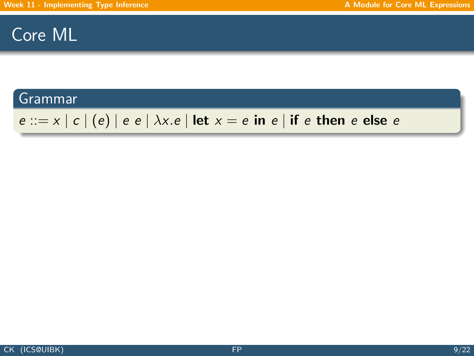## Core ML

#### Grammar

## $e ::= x | c | (e) | e e | \lambda x.e | let x = e in e | if e then e else e$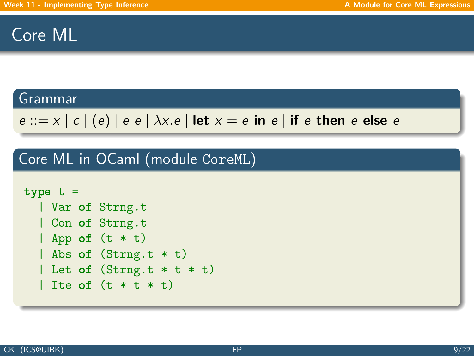## Core ML

#### Grammar

```
e ::= x | c | (e) | e e | \lambda x.e | \text{let } x = e \text{ in } e | \text{ if } e \text{ then } e \text{ else } e
```
Core ML in OCaml (module CoreML)

```
type t =| Var of Strng.t
  | Con of Strng.t
  | App of (t * t)| Abs of (Strng.t * t)
  | Let of (Strng.t * t * t)| Ite of (t * t * t)
```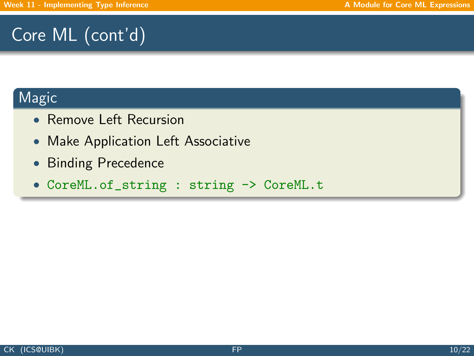# Core ML (cont'd)

### Magic

- Remove Left Recursion
- Make Application Left Associative
- Binding Precedence
- CoreML.of\_string : string -> CoreML.t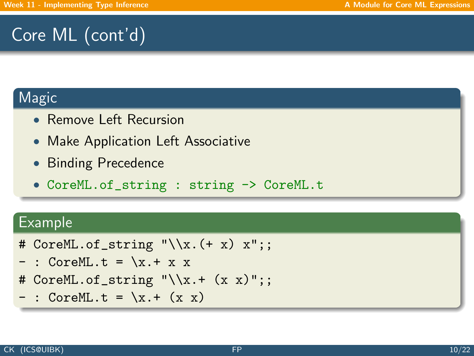# Core ML (cont'd)

### **Magic**

- Remove Left Recursion
- Make Application Left Associative
- Binding Precedence
- CoreML.of\_string : string -> CoreML.t

### Example

- # CoreML.of\_string  $"\\x.(+ x) x";$
- $-$  : CoreML.t =  $x + x$
- # CoreML.of\_string  $"\\x.+ (x x)":;$
- $-$  : CoreML.t =  $\x + (x x)$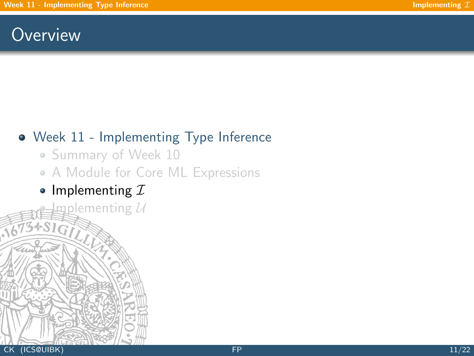## <span id="page-19-0"></span>**Overview**

## [Week 11 - Implementing Type Inference](#page-1-0)

- [Summary of Week 10](#page-2-0)
- [A Module for Core ML Expressions](#page-14-0)
- [Implementing](#page-19-0)  $I$  $\mathbf{n}$ plementing  $\mathcal U$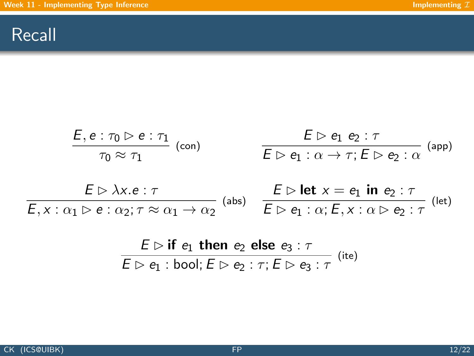## Recall

$$
\frac{E, e: \tau_0 \triangleright e: \tau_1}{\tau_0 \approx \tau_1} \text{ (con)} \qquad \qquad \frac{E \triangleright e_1 \cdot e_2 : \tau}{E \triangleright e_1 : \alpha \to \tau; E \triangleright e_2 : \alpha} \text{ (app)}
$$
\n
$$
\frac{E \triangleright \lambda x. e: \tau}{E, x: \alpha_1 \triangleright e: \alpha_2; \tau \approx \alpha_1 \to \alpha_2} \text{ (abs)} \qquad \frac{E \triangleright \text{let } x = e_1 \text{ in } e_2 : \tau}{E \triangleright e_1 : \alpha; E, x: \alpha \triangleright e_2 : \tau} \text{ (let)}
$$

$$
\frac{E \rhd \textbf{if } e_1 \textbf{ then } e_2 \textbf{ else } e_3 : \tau}{E \rhd e_1 : \textbf{bool}; E \rhd e_2 : \tau; E \rhd e_3 : \tau} \text{ (ite)}
$$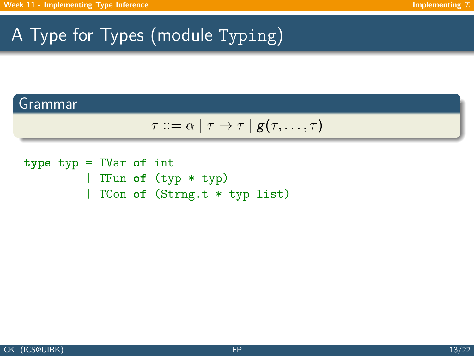# A Type for Types (module Typing)

#### Grammar

$$
\tau ::= \alpha \mid \tau \rightarrow \tau \mid g(\tau, \ldots, \tau)
$$

type typ = TVar of int | TFun of (typ \* typ) | TCon of (Strng.t \* typ list)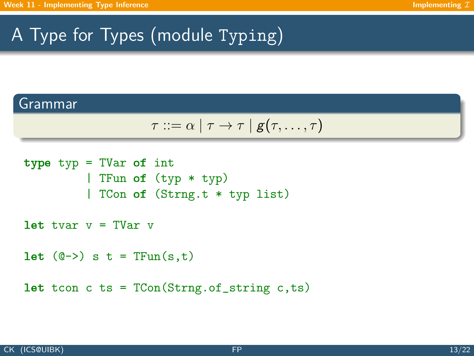# A Type for Types (module Typing)

#### Grammar

$$
\tau ::= \alpha \mid \tau \rightarrow \tau \mid g(\tau, \ldots, \tau)
$$

```
type typ = TVar of int
         | TFun of (typ * typ)
         | TCon of (Strng.t * typ list)
let tvar v = TVar v
let (0\rightarrow) s t = TFun(s,t)let tcon c ts = TCon(String.c.f_s, ts)
```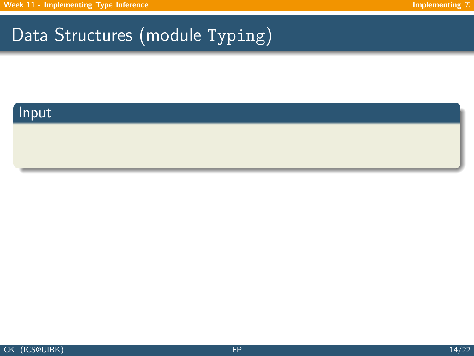### Input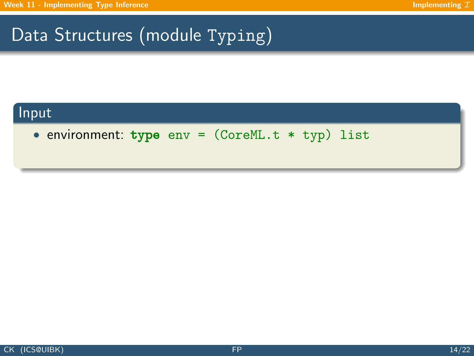### Input

• environment: type env = (CoreML.t \* typ) list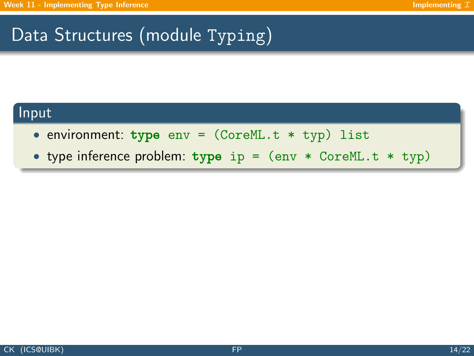#### Input

- environment: type  $env = (CoreML.t * typ)$  list
- type inference problem: type ip = (env \* CoreML.t \* typ)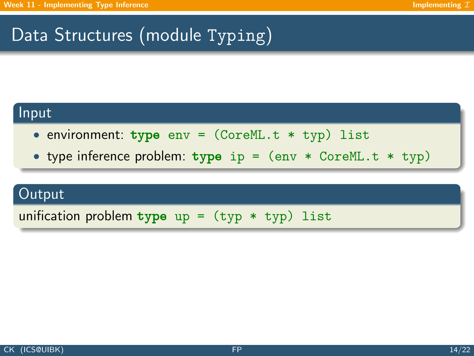#### Input

- environment: type  $env = (CoreML.t * typ)$  list
- type inference problem:  $type$  ip =  $(env * CoreML.t * typ)$

#### **Output**

unification problem type  $up = (typ * typ)$  list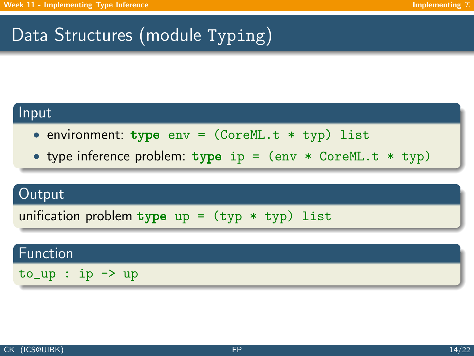#### Input

- environment: type  $env = (CoreML.t * typ)$  list
- type inference problem:  $type$  ip =  $(env * CoreML.t * typ)$

#### Output

unification problem type up =  $(typ * typ)$  list

#### Function

 $to_$  up : ip  $\rightarrow$  up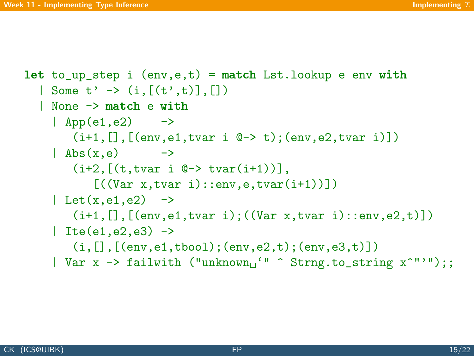```
let to_up_step i (env,e,t) = match Lst.lookup e env with
  | Some t' -> (i,[(t',t)],[1]| None -> match e with
    \vert App(e1,e2) \vert ->
        (i+1, [], [(env,e1,tvar i @{\rightarrow} t); (env,e2,tvar i)])
     \vert Abs(x,e) ->
        (i+2, [ (t, tvar i \ 0 \rightarrow tvar(i+1)) ],[((Var x,tvar i)::env,e,tvar(i+1))])
     | Let(x, e_1, e_2) ->
        (i+1, [], [(env,e1,tvar i); ((Var x, tvar i):env, e2, t)])
     | Ite(e1,e2,e3) \rightarrow(i, [], [(env,e1,tbool);(env,e2,t);(env,e3,t)])
     | Var x \rightarrow failwith ("unknown<sub>1</sub>"" \hat{ } Strng.to_string x<sup>\hat{ }"'");;</sup>
```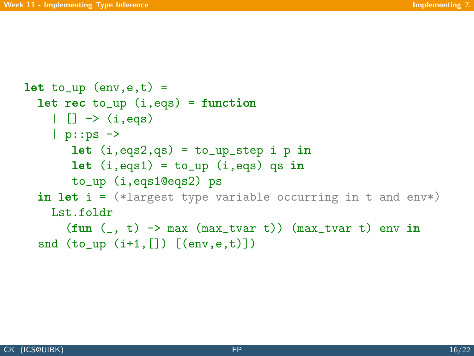```
let to_{up} (env,e,t) =
  let rec to_up (i,eqs) = function
    | | \rightarrow (i,eqs)| p::ps ->let (i, eqs2, qs) = to_up_step i p inlet (i, eqs1) = to_up (i, eqs) qs in
        to_up (i,eqs1@eqs2) ps
  in let i = (*1 \text{ largest type variable occurring in } t \text{ and } env*)Lst.foldr
       (fun (-, t) \rightarrow max (max_tvar t)) (max_tvar t) env in
  snd (to_{\text{up}} (i+1, [])(env, e, t))
```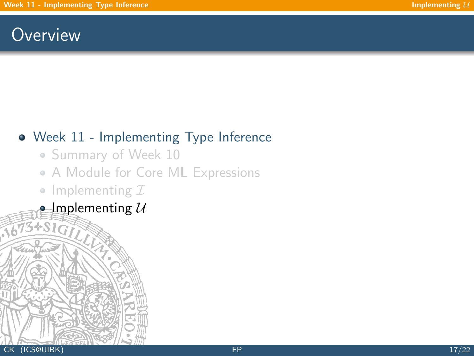## <span id="page-30-0"></span>**Overview**

## [Week 11 - Implementing Type Inference](#page-1-0)

- [Summary of Week 10](#page-2-0)
- [A Module for Core ML Expressions](#page-14-0)
- [Implementing](#page-19-0)  $I$
- [Implementing](#page-30-0)  $U$

34816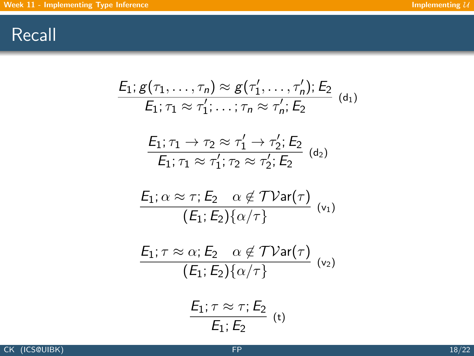## Recall

$$
E_1; g(\tau_1, \ldots, \tau_n) \approx g(\tau'_1, \ldots, \tau'_n); E_2
$$
\n
$$
E_1; \tau_1 \approx \tau'_1; \ldots; \tau_n \approx \tau'_n; E_2
$$
\n
$$
\frac{E_1; \tau_1 \to \tau_2 \approx \tau'_1 \to \tau'_2; E_2}{E_1; \tau_1 \approx \tau'_1; \tau_2 \approx \tau'_2; E_2}
$$
\n
$$
E_1; \alpha \approx \tau; E_2 \quad \alpha \notin \mathcal{TV}\text{ar}(\tau)
$$
\n
$$
\frac{E_1; \tau \approx \alpha; E_2 \quad \alpha \notin \mathcal{TV}\text{ar}(\tau)}{(E_1; E_2) \{\alpha/\tau\}}
$$
\n
$$
\frac{E_1; \tau \approx \alpha; E_2 \quad \alpha \notin \mathcal{TV}\text{ar}(\tau)}{(E_1; E_2) \{\alpha/\tau\}}
$$
\n
$$
\frac{E_1; \tau \approx \tau; E_2}{E_1; E_2}
$$
\n
$$
\frac{E_1; \tau \approx \tau; E_2}{E_1; E_2}
$$
\n
$$
(t)
$$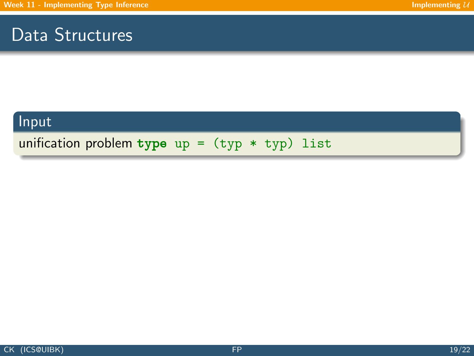## Data Structures

### Input

unification problem type up =  $(typ * typ)$  list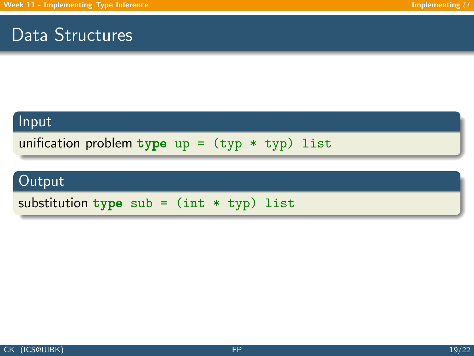## Data Structures

#### Input

unification problem type up =  $(typ * typ)$  list

## Output

substitution type sub =  $(int * typ)$  list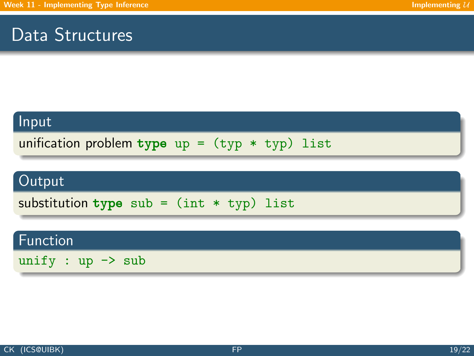## Data Structures

#### Input

unification problem type up =  $(typ * typ)$  list

## Output

substitution type sub =  $(int * typ)$  list

### Function

unify :  $up \rightarrow sub$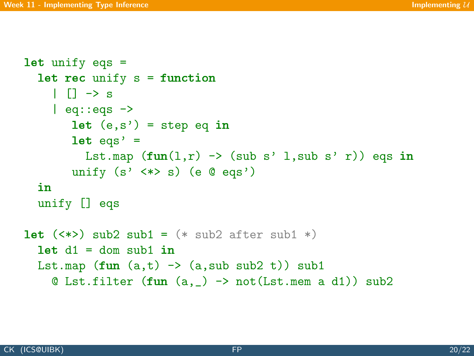```
let unify eqs =
  let rec unify s = function\| \| \rightarrow s
    | eq::eqs \rightarrowlet (e,s') = step eq in
        let eqs' =Lst.map (fun(1,r) \rightarrow (sub s' 1,sub s' r)) eqs in
        unify (s' \iff s) (e @ eqs')
  in
  unify [] eqs
let (\langle * \rangle) sub2 sub1 = (* sub2 after sub1 *)let d1 = dom \text{ sub1 in}Lst.map (fun (a,t) \rightarrow (a, sub sub2 t)) sub1\& Lst.filter (fun (a, ) -> not(Lst.mem a d1)) sub2
```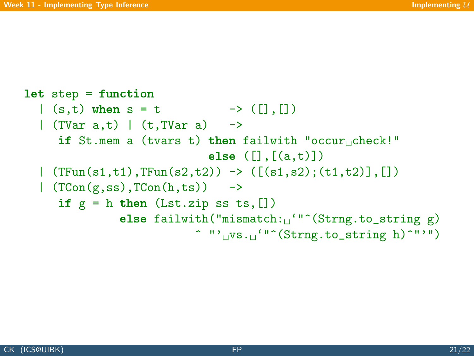```
let step = function
  |(s,t) when s = t \rightarrow ([] , [] )| (TVar a,t) | (t,TVar a) ->
     if St.mem a (tvars t) then failwith "occur check!"
                                else (\lceil .\lceil (a.t)\rceil)\mid (TFun(s1,t1),TFun(s2,t2)) -> ([(s1,s2);(t1,t2)],[])
  | (TCon(g,ss),TCon(h,ts)) ->
     if g = h then (Lst.zip ss ts, [])
                else failwith("mismatch:_1"<sup>o</sup>(Strng.to_string g)
                             \hat{w} "'\hat{w}s. \hat{w}"\hat{v}(Strng.to_string h)\hat{w}"'")
```